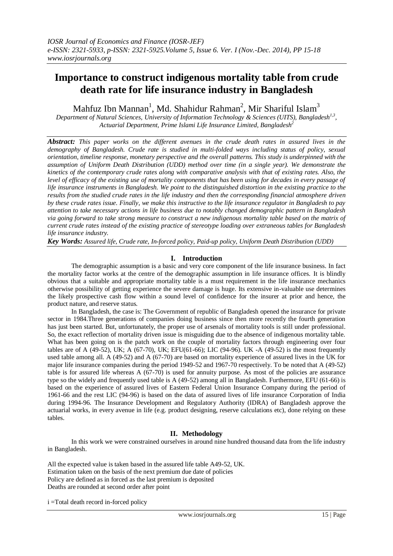# **Importance to construct indigenous mortality table from crude death rate for life insurance industry in Bangladesh**

Mahfuz Ibn Mannan<sup>1</sup>, Md. Shahidur Rahman<sup>2</sup>, Mir Shariful Islam<sup>3</sup>

*Department of Natural Sciences, University of Information Technology & Sciences (UITS), Bangladesh1,3 , Actuarial Department, Prime Islami Life Insurance Limited, Bangladesh<sup>2</sup>*

*Abstract: This paper works on the different avenues in the crude death rates in assured lives in the demography of Bangladesh. Crude rate is studied in multi-folded ways including status of policy, sexual orientation, timeline response, monetary perspective and the overall patterns. This study is underpinned with the assumption of Uniform Death Distribution (UDD) method over time (in a single year). We demonstrate the kinetics of the contemporary crude rates along with comparative analysis with that of existing rates. Also, the level of efficacy of the existing use of mortality components that has been using for decades in every passage of life insurance instruments in Bangladesh. We point to the distinguished distortion in the existing practice to the results from the studied crude rates in the life industry and then the corresponding financial atmosphere driven by these crude rates issue. Finally, we make this instructive to the life insurance regulator in Bangladesh to pay attention to take necessary actions in life business due to notably changed demographic pattern in Bangladesh via going forward to take strong measure to construct a new indigenous mortality table based on the matrix of current crude rates instead of the existing practice of stereotype loading over extraneous tables for Bangladesh life insurance industry.* 

*Key Words: Assured life, Crude rate, In-forced policy, Paid-up policy, Uniform Death Distribution (UDD)*

## **I. Introduction**

The demographic assumption is a basic and very core component of the life insurance business. In fact the mortality factor works at the centre of the demographic assumption in life insurance offices. It is blindly obvious that a suitable and appropriate mortality table is a must requirement in the life insurance mechanics otherwise possibility of getting experience the severe damage is huge. Its extensive in-valuable use determines the likely prospective cash flow within a sound level of confidence for the insurer at prior and hence, the product nature, and reserve status.

In Bangladesh, the case is: The Government of republic of Bangladesh opened the insurance for private sector in 1984.Three generations of companies doing business since then more recently the fourth generation has just been started. But, unfortunately, the proper use of arsenals of mortality tools is still under professional. So, the exact reflection of mortality driven issue is misguiding due to the absence of indigenous mortality table. What has been going on is the patch work on the couple of mortality factors through engineering over four tables are of A (49-52), UK; A (67-70), UK; EFU(61-66); LIC (94-96). UK -A (49-52) is the most frequently used table among all. A (49-52) and A (67-70) are based on mortality experience of assured lives in the UK for major life insurance companies during the period 1949-52 and 1967-70 respectively. To be noted that A (49-52) table is for assured life whereas A (67-70) is used for annuity purpose. As most of the policies are assurance type so the widely and frequently used table is A (49-52) among all in Bangladesh. Furthermore, EFU (61-66) is based on the experience of assured lives of Eastern Federal Union Insurance Company during the period of 1961-66 and the rest LIC (94-96) is based on the data of assured lives of life insurance Corporation of India during 1994-96. The Insurance Development and Regulatory Authority (IDRA) of Bangladesh approve the actuarial works, in every avenue in life (e.g. product designing, reserve calculations etc), done relying on these tables.

## **II. Methodology**

In this work we were constrained ourselves in around nine hundred thousand data from the life industry in Bangladesh.

All the expected value is taken based in the assured life table A49-52, UK. Estimation taken on the basis of the next premium due date of policies Policy are defined as in forced as the last premium is deposited Deaths are rounded at second order after point

i =Total death record in-forced policy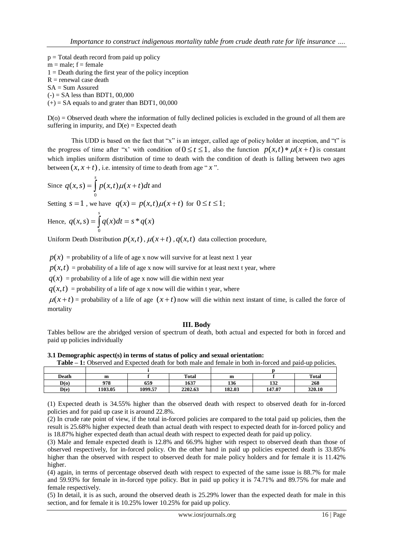$p = Total death record from paid up policy$  $m = male$ ;  $f = female$  $1 =$  Death during the first year of the policy inception  $R$  = renewal case death  $SA = Sum$  Assured  $(-)$  = SA less than BDT1, 00,000  $(+)$  = SA equals to and grater than BDT1, 00,000

 $D(0)$  = Observed death where the information of fully declined policies is excluded in the ground of all them are suffering in impurity, and  $D(e) =$  Expected death

This UDD is based on the fact that "x" is an integer, called age of policy holder at inception, and "t" is the progress of time after "x' with condition of  $0 \le t \le 1$ , also the function  $p(x,t) * \mu(x+t)$  is constant which implies uniform distribution of time to death with the condition of death is falling between two ages between  $(x, x + t)$ , i.e. intensity of time to death from age " $x$ ".

Since 
$$
q(x, s) = \int_{0}^{s} p(x, t) \mu(x + t) dt
$$
 and

Setting  $s = 1$ , we have  $q(x) = p(x,t)\mu(x+t)$  for  $0 \le t \le 1$ ;

Hence, 
$$
q(x, s) = \int_{0}^{s} q(x)dt = s * q(x)
$$

Uniform Death Distribution  $p(x,t)$ ,  $\mu(x+t)$ ,  $q(x,t)$  data collection procedure,

 $p(x)$  = probability of a life of age x now will survive for at least next 1 year

 $p(x,t)$  = probability of a life of age x now will survive for at least next t year, where

 $q(x)$  = probability of a life of age x now will die within next year

 $q(x,t)$  = probability of a life of age x now will die within t year, where

 $\mu(x+t)$  = probability of a life of age  $(x+t)$  now will die within next instant of time, is called the force of mortality

## **III. Body**

Tables bellow are the abridged version of spectrum of death, both actual and expected for both in forced and paid up policies individually

**3.1 Demographic aspect(s) in terms of status of policy and sexual orientation:** 

| <b>Table – 1:</b> Observed and Expected death for both male and female in both in-forced and paid-up policies. |         |         |         |        |        |        |  |  |  |
|----------------------------------------------------------------------------------------------------------------|---------|---------|---------|--------|--------|--------|--|--|--|
|                                                                                                                |         |         |         |        |        |        |  |  |  |
| Death                                                                                                          | m       |         | Total   | m      |        | Total  |  |  |  |
| D(0)                                                                                                           | 978     | 659     | 1637    | 136    | 132    | 268    |  |  |  |
| D(e)                                                                                                           | 1103.05 | 1099.57 | 2202.63 | 182.03 | 147.07 | 320.10 |  |  |  |

(1) Expected death is 34.55% higher than the observed death with respect to observed death for in-forced policies and for paid up case it is around 22.8%.

(2) In crude rate point of view, if the total in-forced policies are compared to the total paid up policies, then the result is 25.68% higher expected death than actual death with respect to expected death for in-forced policy and is 18.87% higher expected death than actual death with respect to expected death for paid up policy.

(3) Male and female expected death is 12.8% and 66.9% higher with respect to observed death than those of observed respectively, for in-forced policy. On the other hand in paid up policies expected death is 33.85% higher than the observed with respect to observed death for male policy holders and for female it is 11.42% higher.

(4) again, in terms of percentage observed death with respect to expected of the same issue is 88.7% for male and 59.93% for female in in-forced type policy. But in paid up policy it is 74.71% and 89.75% for male and female respectively.

(5) In detail, it is as such, around the observed death is 25.29% lower than the expected death for male in this section, and for female it is 10.25% lower 10.25% for paid up policy.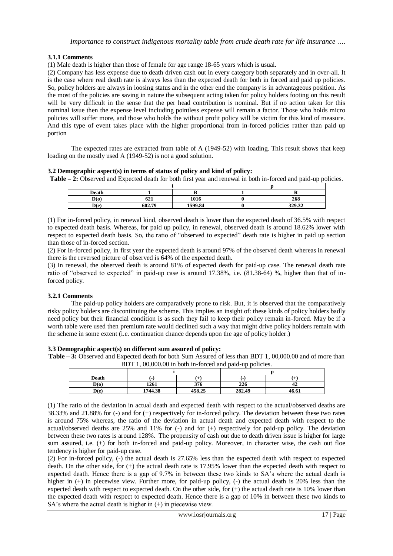## **3.1.1 Comments**

(1) Male death is higher than those of female for age range 18-65 years which is usual.

(2) Company has less expense due to death driven cash out in every category both separately and in over-all. It is the case where real death rate is always less than the expected death for both in forced and paid up policies. So, policy holders are always in loosing status and in the other end the company is in advantageous position. As the most of the policies are saving in nature the subsequent acting taken for policy holders footing on this result will be very difficult in the sense that the per head contribution is nominal. But if no action taken for this nominal issue then the expense level including pointless expense will remain a factor. Those who holds micro policies will suffer more, and those who holds the without profit policy will be victim for this kind of measure. And this type of event takes place with the higher proportional from in-forced policies rather than paid up portion

The expected rates are extracted from table of A (1949-52) with loading. This result shows that keep loading on the mostly used A (1949-52) is not a good solution.

**3.2 Demographic aspect(s) in terms of status of policy and kind of policy:** 

**Table – 2:** Observed and Expected death for both first year and renewal in both in-forced and paid-up policies.

| Death |               |         |        |
|-------|---------------|---------|--------|
| D(0)  | $\sim$<br>041 | 1016    | 268    |
| D(e)  | 602.79        | 1599.84 | 329.32 |

(1) For in-forced policy, in renewal kind, observed death is lower than the expected death of 36.5% with respect to expected death basis. Whereas, for paid up policy, in renewal, observed death is around 18.62% lower with respect to expected death basis. So, the ratio of "observed to expected" death rate is higher in paid up section than those of in-forced section.

(2) For in-forced policy, in first year the expected death is around 97% of the observed death whereas in renewal there is the reversed picture of observed is 64% of the expected death.

(3) In renewal, the observed death is around 81% of expected death for paid-up case. The renewal death rate ratio of "observed to expected" in paid-up case is around 17.38%, i.e. (81.38-64) %, higher than that of inforced policy.

## **3.2.1 Comments**

The paid-up policy holders are comparatively prone to risk. But, it is observed that the comparatively risky policy holders are discontinuing the scheme. This implies an insight of: these kinds of policy holders badly need policy but their financial condition is as such they fail to keep their policy remain in-forced. May be if a worth table were used then premium rate would declined such a way that might drive policy holders remain with the scheme in some extent (i.e. continuation chance depends upon the age of policy holder.)

#### **3.3 Demographic aspect(s) on different sum assured of policy:**

**Table – 3:** Observed and Expected death for both Sum Assured of less than BDT 1, 00,000.00 and of more than BDT 1, 00,000.00 in both in-forced and paid-up policies.

| Death | $\overline{\phantom{0}}$ |        |        |       |  |
|-------|--------------------------|--------|--------|-------|--|
| D(o)  | 1261                     | 376    | 226    | 47    |  |
| D(e)  | 1744.38                  | 458.25 | 282.49 | 46.61 |  |

(1) The ratio of the deviation in actual death and expected death with respect to the actual/observed deaths are 38.33% and 21.88% for (-) and for (+) respectively for in-forced policy. The deviation between these two rates is around 75% whereas, the ratio of the deviation in actual death and expected death with respect to the actual/observed deaths are  $25\%$  and  $11\%$  for (-) and for (+) respectively for paid-up policy. The deviation between these two rates is around 128%. The propensity of cash out due to death driven issue is higher for large sum assured, i.e. (+) for both in-forced and paid-up policy. Moreover, in character wise, the cash out floe tendency is higher for paid-up case.

(2) For in-forced policy, (-) the actual death is 27.65% less than the expected death with respect to expected death. On the other side, for (+) the actual death rate is 17.95% lower than the expected death with respect to expected death. Hence there is a gap of 9.7% in between these two kinds to SA's where the actual death is higher in (+) in piecewise view. Further more, for paid-up policy, (-) the actual death is 20% less than the expected death with respect to expected death. On the other side, for  $(+)$  the actual death rate is 10% lower than the expected death with respect to expected death. Hence there is a gap of 10% in between these two kinds to SA's where the actual death is higher in  $(+)$  in piecewise view.